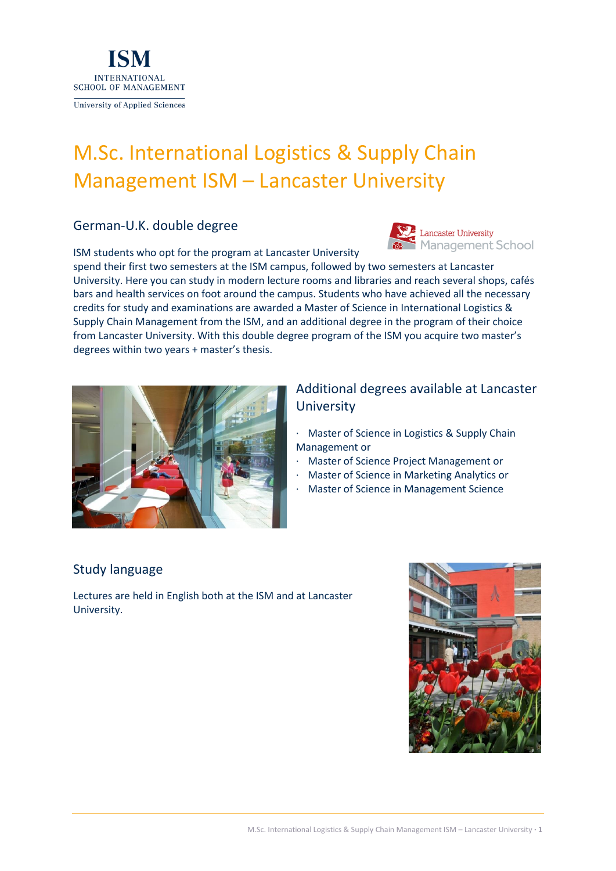

# M.Sc. International Logistics & Supply Chain Management ISM – Lancaster University

### German-U.K. double degree

ISM students who opt for the program at Lancaster University



spend their first two semesters at the ISM campus, followed by two semesters at Lancaster University. Here you can study in modern lecture rooms and libraries and reach several shops, cafés bars and health services on foot around the campus. Students who have achieved all the necessary credits for study and examinations are awarded a Master of Science in International Logistics & Supply Chain Management from the ISM, and an additional degree in the program of their choice from Lancaster University. With this double degree program of the ISM you acquire two master's degrees within two years + master's thesis.



### Additional degrees available at Lancaster **University**

- · Master of Science in Logistics & Supply Chain Management or
- · Master of Science Project Management or
- · Master of Science in Marketing Analytics or
- · Master of Science in Management Science

### Study language

Lectures are held in English both at the ISM and at Lancaster University.